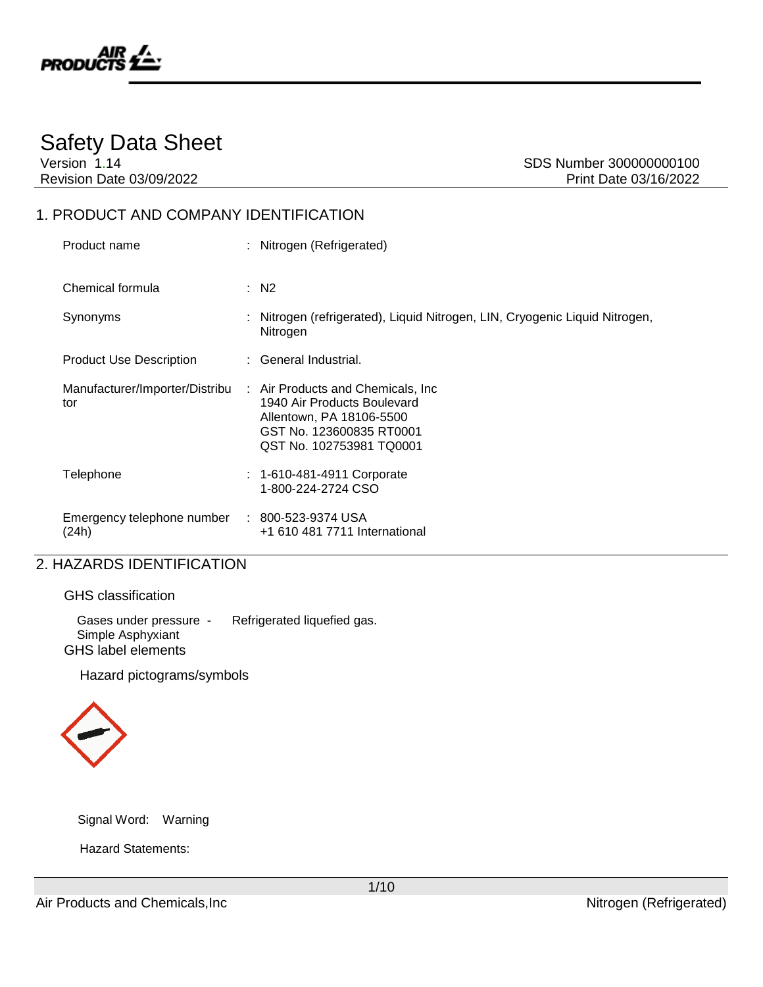

# Safety Data Sheet

Version 1.14 SDS Number 300000000100 Revision Date 03/09/2022 **Print Date 03/16/2022** 

### 1. PRODUCT AND COMPANY IDENTIFICATION

| Product name                                           | : Nitrogen (Refrigerated)                                                                                                                             |
|--------------------------------------------------------|-------------------------------------------------------------------------------------------------------------------------------------------------------|
| Chemical formula                                       | $\therefore$ N2                                                                                                                                       |
| Synonyms                                               | : Nitrogen (refrigerated), Liquid Nitrogen, LIN, Cryogenic Liquid Nitrogen,<br>Nitrogen                                                               |
| <b>Product Use Description</b>                         | : General Industrial.                                                                                                                                 |
| Manufacturer/Importer/Distribu<br>tor                  | : Air Products and Chemicals, Inc.<br>1940 Air Products Boulevard<br>Allentown, PA 18106-5500<br>GST No. 123600835 RT0001<br>QST No. 102753981 TQ0001 |
| Telephone                                              | $: 1 - 610 - 481 - 4911$ Corporate<br>1-800-224-2724 CSO                                                                                              |
| Emergency telephone number : 800-523-9374 USA<br>(24h) | +1 610 481 7711 International                                                                                                                         |

# 2. HAZARDS IDENTIFICATION

|  | <b>GHS</b> classification |
|--|---------------------------|
|--|---------------------------|

Gases under pressure - Refrigerated liquefied gas. Simple Asphyxiant GHS label elements

Hazard pictograms/symbols



Signal Word: Warning

Hazard Statements:

1/10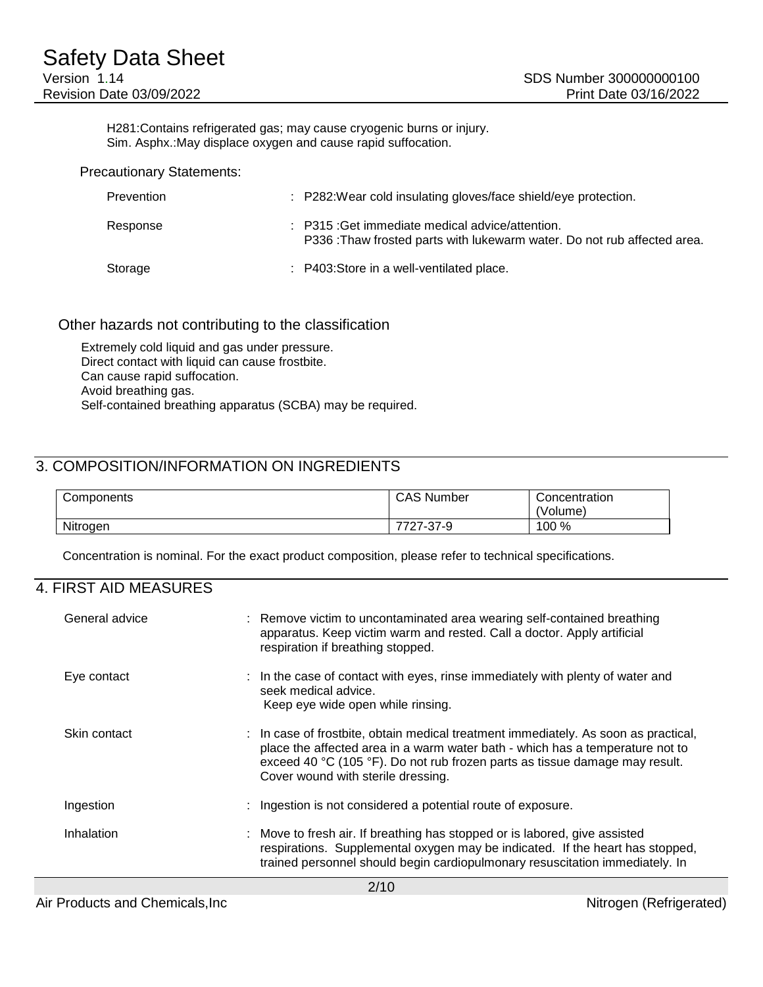H281:Contains refrigerated gas; may cause cryogenic burns or injury. Sim. Asphx.:May displace oxygen and cause rapid suffocation.

Precautionary Statements:

| Prevention | : P282: Wear cold insulating gloves/face shield/eye protection.                                                             |
|------------|-----------------------------------------------------------------------------------------------------------------------------|
| Response   | : P315 : Get immediate medical advice/attention.<br>P336: Thaw frosted parts with lukewarm water. Do not rub affected area. |
| Storage    | : P403: Store in a well-ventilated place.                                                                                   |

#### Other hazards not contributing to the classification

Extremely cold liquid and gas under pressure. Direct contact with liquid can cause frostbite. Can cause rapid suffocation. Avoid breathing gas. Self-contained breathing apparatus (SCBA) may be required.

### 3. COMPOSITION/INFORMATION ON INGREDIENTS

| Components | <b>CAS Number</b>                      | Concentration<br>'Volume) |
|------------|----------------------------------------|---------------------------|
| Nitrogen   | フフヘフ<br>ח דמ<br>·37-9<br>. .<br>$\sim$ | 100 %                     |

Concentration is nominal. For the exact product composition, please refer to technical specifications.

### 4. FIRST AID MEASURES

| General advice | : Remove victim to uncontaminated area wearing self-contained breathing<br>apparatus. Keep victim warm and rested. Call a doctor. Apply artificial<br>respiration if breathing stopped.                                                                                                   |  |  |
|----------------|-------------------------------------------------------------------------------------------------------------------------------------------------------------------------------------------------------------------------------------------------------------------------------------------|--|--|
| Eye contact    | : In the case of contact with eyes, rinse immediately with plenty of water and<br>seek medical advice.<br>Keep eye wide open while rinsing.                                                                                                                                               |  |  |
| Skin contact   | : In case of frostbite, obtain medical treatment immediately. As soon as practical,<br>place the affected area in a warm water bath - which has a temperature not to<br>exceed 40 °C (105 °F). Do not rub frozen parts as tissue damage may result.<br>Cover wound with sterile dressing. |  |  |
| Ingestion      | : Ingestion is not considered a potential route of exposure.                                                                                                                                                                                                                              |  |  |
| Inhalation     | : Move to fresh air. If breathing has stopped or is labored, give assisted<br>respirations. Supplemental oxygen may be indicated. If the heart has stopped,<br>trained personnel should begin cardiopulmonary resuscitation immediately. In                                               |  |  |
| $\bigcap$      |                                                                                                                                                                                                                                                                                           |  |  |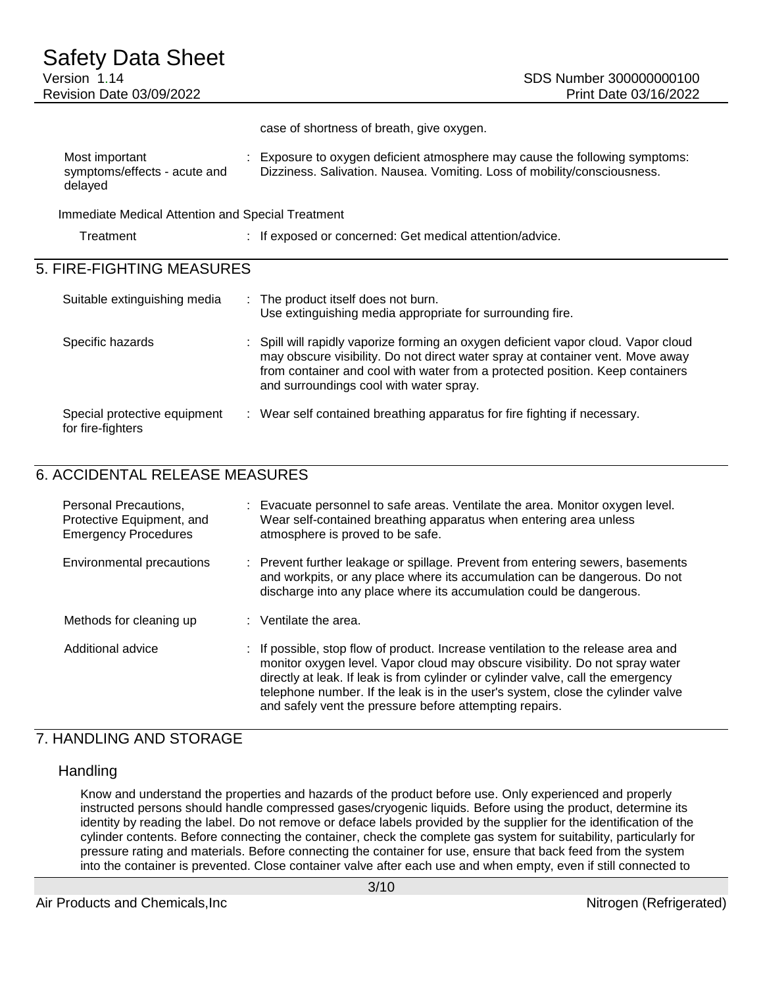case of shortness of breath, give oxygen.

| Most important               | : Exposure to oxygen deficient atmosphere may cause the following symptoms: |
|------------------------------|-----------------------------------------------------------------------------|
| symptoms/effects - acute and | Dizziness. Salivation. Nausea. Vomiting. Loss of mobility/consciousness.    |
| delayed                      |                                                                             |

Immediate Medical Attention and Special Treatment

| Treatment | : If exposed or concerned: Get medical attention/advice. |
|-----------|----------------------------------------------------------|
|           |                                                          |

# 5. FIRE-FIGHTING MEASURES

| Suitable extinguishing media                      | : The product itself does not burn.<br>Use extinguishing media appropriate for surrounding fire.                                                                                                                                                                                                 |
|---------------------------------------------------|--------------------------------------------------------------------------------------------------------------------------------------------------------------------------------------------------------------------------------------------------------------------------------------------------|
| Specific hazards                                  | : Spill will rapidly vaporize forming an oxygen deficient vapor cloud. Vapor cloud<br>may obscure visibility. Do not direct water spray at container vent. Move away<br>from container and cool with water from a protected position. Keep containers<br>and surroundings cool with water spray. |
| Special protective equipment<br>for fire-fighters | : Wear self contained breathing apparatus for fire fighting if necessary.                                                                                                                                                                                                                        |

# 6. ACCIDENTAL RELEASE MEASURES

| Personal Precautions,<br>Protective Equipment, and<br><b>Emergency Procedures</b> | Evacuate personnel to safe areas. Ventilate the area. Monitor oxygen level.<br>Wear self-contained breathing apparatus when entering area unless<br>atmosphere is proved to be safe.                                                                                                                                                                                                                |
|-----------------------------------------------------------------------------------|-----------------------------------------------------------------------------------------------------------------------------------------------------------------------------------------------------------------------------------------------------------------------------------------------------------------------------------------------------------------------------------------------------|
| Environmental precautions                                                         | : Prevent further leakage or spillage. Prevent from entering sewers, basements<br>and workpits, or any place where its accumulation can be dangerous. Do not<br>discharge into any place where its accumulation could be dangerous.                                                                                                                                                                 |
| Methods for cleaning up                                                           | $:$ Ventilate the area.                                                                                                                                                                                                                                                                                                                                                                             |
| Additional advice                                                                 | : If possible, stop flow of product. Increase ventilation to the release area and<br>monitor oxygen level. Vapor cloud may obscure visibility. Do not spray water<br>directly at leak. If leak is from cylinder or cylinder valve, call the emergency<br>telephone number. If the leak is in the user's system, close the cylinder valve<br>and safely vent the pressure before attempting repairs. |

### 7. HANDLING AND STORAGE

### **Handling**

Know and understand the properties and hazards of the product before use. Only experienced and properly instructed persons should handle compressed gases/cryogenic liquids. Before using the product, determine its identity by reading the label. Do not remove or deface labels provided by the supplier for the identification of the cylinder contents. Before connecting the container, check the complete gas system for suitability, particularly for pressure rating and materials. Before connecting the container for use, ensure that back feed from the system into the container is prevented. Close container valve after each use and when empty, even if still connected to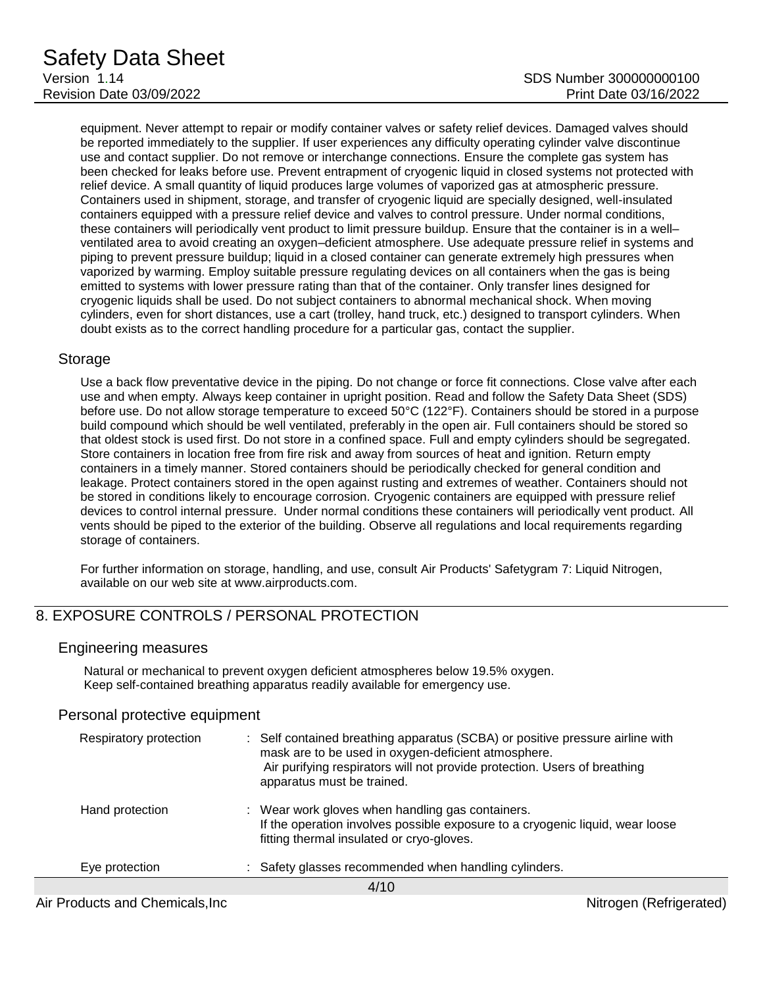equipment. Never attempt to repair or modify container valves or safety relief devices. Damaged valves should be reported immediately to the supplier. If user experiences any difficulty operating cylinder valve discontinue use and contact supplier. Do not remove or interchange connections. Ensure the complete gas system has been checked for leaks before use. Prevent entrapment of cryogenic liquid in closed systems not protected with relief device. A small quantity of liquid produces large volumes of vaporized gas at atmospheric pressure. Containers used in shipment, storage, and transfer of cryogenic liquid are specially designed, well-insulated containers equipped with a pressure relief device and valves to control pressure. Under normal conditions, these containers will periodically vent product to limit pressure buildup. Ensure that the container is in a well– ventilated area to avoid creating an oxygen–deficient atmosphere. Use adequate pressure relief in systems and piping to prevent pressure buildup; liquid in a closed container can generate extremely high pressures when vaporized by warming. Employ suitable pressure regulating devices on all containers when the gas is being emitted to systems with lower pressure rating than that of the container. Only transfer lines designed for cryogenic liquids shall be used. Do not subject containers to abnormal mechanical shock. When moving cylinders, even for short distances, use a cart (trolley, hand truck, etc.) designed to transport cylinders. When doubt exists as to the correct handling procedure for a particular gas, contact the supplier.

#### Storage

Use a back flow preventative device in the piping. Do not change or force fit connections. Close valve after each use and when empty. Always keep container in upright position. Read and follow the Safety Data Sheet (SDS) before use. Do not allow storage temperature to exceed 50°C (122°F). Containers should be stored in a purpose build compound which should be well ventilated, preferably in the open air. Full containers should be stored so that oldest stock is used first. Do not store in a confined space. Full and empty cylinders should be segregated. Store containers in location free from fire risk and away from sources of heat and ignition. Return empty containers in a timely manner. Stored containers should be periodically checked for general condition and leakage. Protect containers stored in the open against rusting and extremes of weather. Containers should not be stored in conditions likely to encourage corrosion. Cryogenic containers are equipped with pressure relief devices to control internal pressure. Under normal conditions these containers will periodically vent product. All vents should be piped to the exterior of the building. Observe all regulations and local requirements regarding storage of containers.

For further information on storage, handling, and use, consult Air Products' Safetygram 7: Liquid Nitrogen, available on our web site at www.airproducts.com.

### 8. EXPOSURE CONTROLS / PERSONAL PROTECTION

#### Engineering measures

Natural or mechanical to prevent oxygen deficient atmospheres below 19.5% oxygen. Keep self-contained breathing apparatus readily available for emergency use.

#### Personal protective equipment

| Respiratory protection | : Self contained breathing apparatus (SCBA) or positive pressure airline with<br>mask are to be used in oxygen-deficient atmosphere.<br>Air purifying respirators will not provide protection. Users of breathing<br>apparatus must be trained. |  |
|------------------------|-------------------------------------------------------------------------------------------------------------------------------------------------------------------------------------------------------------------------------------------------|--|
| Hand protection        | : Wear work gloves when handling gas containers.<br>If the operation involves possible exposure to a cryogenic liquid, wear loose<br>fitting thermal insulated or cryo-gloves.                                                                  |  |
| Eye protection         | : Safety glasses recommended when handling cylinders.                                                                                                                                                                                           |  |
| 4/10                   |                                                                                                                                                                                                                                                 |  |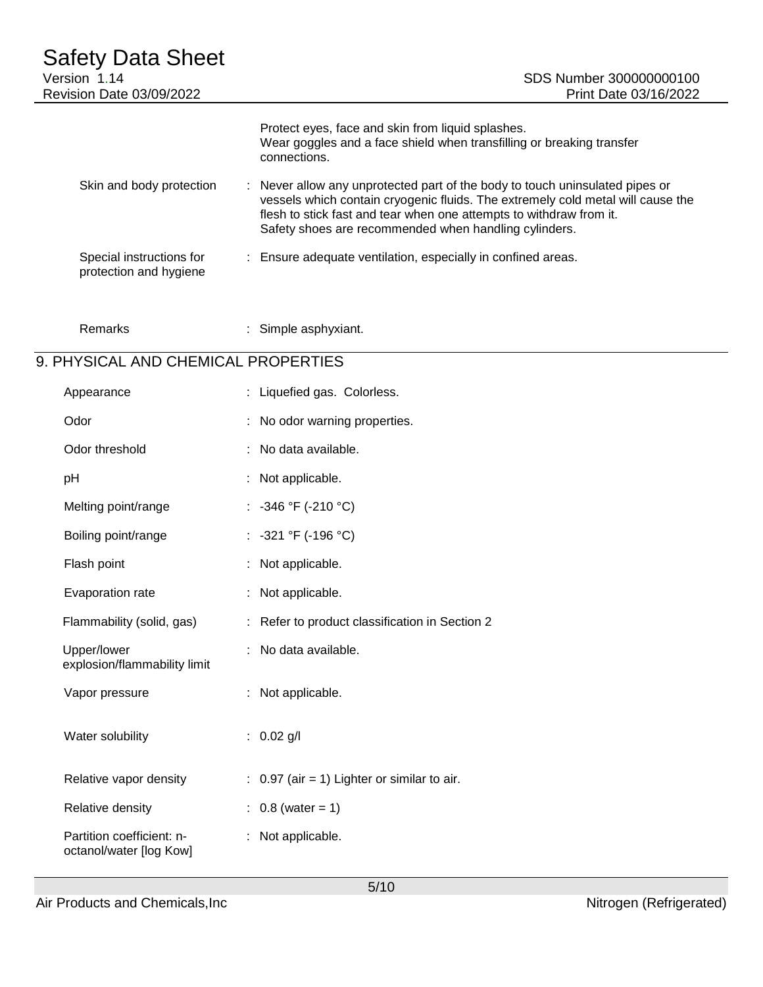| Safety Data Sheet<br>Version 1.14<br><b>Revision Date 03/09/2022</b> | SDS Number 300000000100<br>Print Date 03/16/2022                                                                                                                                                                                                                                                |
|----------------------------------------------------------------------|-------------------------------------------------------------------------------------------------------------------------------------------------------------------------------------------------------------------------------------------------------------------------------------------------|
|                                                                      | Protect eyes, face and skin from liquid splashes.<br>Wear goggles and a face shield when transfilling or breaking transfer<br>connections.                                                                                                                                                      |
| Skin and body protection                                             | : Never allow any unprotected part of the body to touch uninsulated pipes or<br>vessels which contain cryogenic fluids. The extremely cold metal will cause the<br>flesh to stick fast and tear when one attempts to withdraw from it.<br>Safety shoes are recommended when handling cylinders. |
| Special instructions for<br>protection and hygiene                   | : Ensure adequate ventilation, especially in confined areas.                                                                                                                                                                                                                                    |

| Remarks | Simple asphyxiant. |
|---------|--------------------|
|---------|--------------------|

# 9. PHYSICAL AND CHEMICAL PROPERTIES

| Appearance                                           | : Liquefied gas. Colorless.                            |
|------------------------------------------------------|--------------------------------------------------------|
| Odor                                                 | No odor warning properties.                            |
| Odor threshold                                       | No data available.                                     |
| pH                                                   | Not applicable.                                        |
| Melting point/range                                  | : $-346$ °F ( $-210$ °C)                               |
| Boiling point/range                                  | : $-321$ °F (-196 °C)                                  |
| Flash point                                          | Not applicable.                                        |
| Evaporation rate                                     | : Not applicable.                                      |
| Flammability (solid, gas)                            | Refer to product classification in Section 2           |
| Upper/lower<br>explosion/flammability limit          | No data available.                                     |
| Vapor pressure                                       | Not applicable.<br>÷.                                  |
| Water solubility                                     | $0.02$ g/l<br>÷.                                       |
| Relative vapor density                               | $\therefore$ 0.97 (air = 1) Lighter or similar to air. |
| Relative density                                     | $0.8$ (water = 1)                                      |
| Partition coefficient: n-<br>octanol/water [log Kow] | Not applicable.                                        |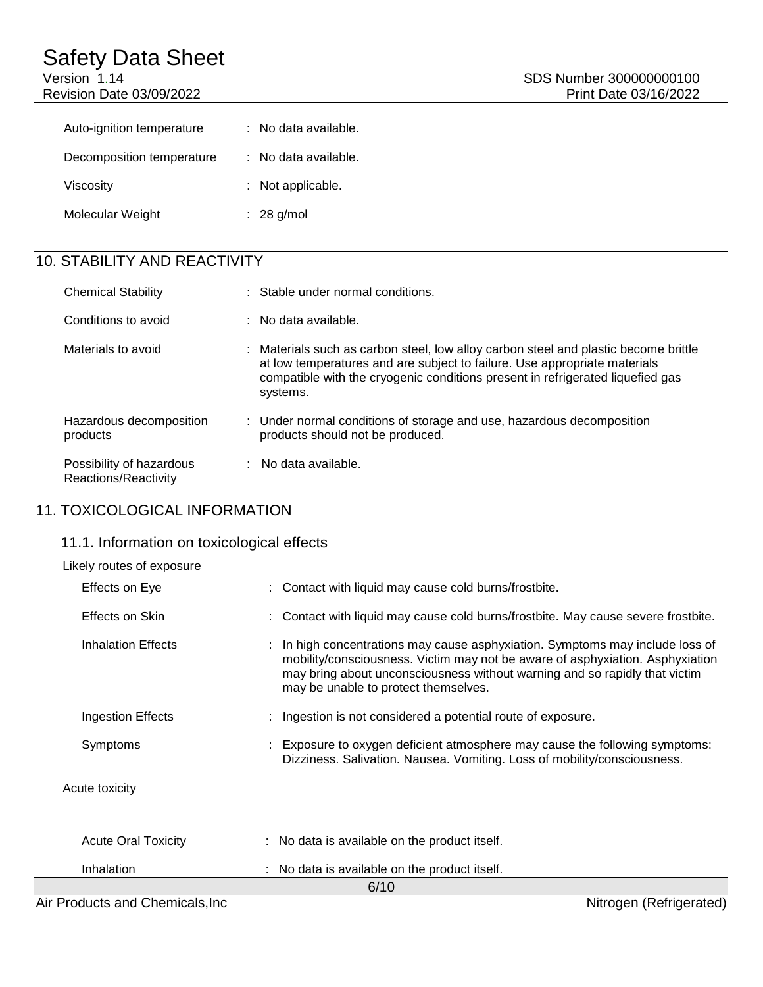| Auto-ignition temperature | : No data available. |
|---------------------------|----------------------|
| Decomposition temperature | : No data available. |
| Viscosity                 | : Not applicable.    |
| Molecular Weight          | $: 28$ g/mol         |

# 10. STABILITY AND REACTIVITY

| <b>Chemical Stability</b>                        | : Stable under normal conditions.                                                                                                                                                                                                                              |
|--------------------------------------------------|----------------------------------------------------------------------------------------------------------------------------------------------------------------------------------------------------------------------------------------------------------------|
| Conditions to avoid                              | $\therefore$ No data available.                                                                                                                                                                                                                                |
| Materials to avoid                               | : Materials such as carbon steel, low alloy carbon steel and plastic become brittle<br>at low temperatures and are subject to failure. Use appropriate materials<br>compatible with the cryogenic conditions present in refrigerated liquefied gas<br>systems. |
| Hazardous decomposition<br>products              | : Under normal conditions of storage and use, hazardous decomposition<br>products should not be produced.                                                                                                                                                      |
| Possibility of hazardous<br>Reactions/Reactivity | $:$ No data available.                                                                                                                                                                                                                                         |

# 11. TOXICOLOGICAL INFORMATION

### 11.1. Information on toxicological effects

| Likely routes of exposure  |                                                                                                                                                                                                                                                                                      |  |  |  |
|----------------------------|--------------------------------------------------------------------------------------------------------------------------------------------------------------------------------------------------------------------------------------------------------------------------------------|--|--|--|
| Effects on Eye             | : Contact with liquid may cause cold burns/frostbite.                                                                                                                                                                                                                                |  |  |  |
| Effects on Skin            | : Contact with liquid may cause cold burns/frostbite. May cause severe frostbite.                                                                                                                                                                                                    |  |  |  |
| Inhalation Effects         | : In high concentrations may cause asphyxiation. Symptoms may include loss of<br>mobility/consciousness. Victim may not be aware of asphyxiation. Asphyxiation<br>may bring about unconsciousness without warning and so rapidly that victim<br>may be unable to protect themselves. |  |  |  |
| Ingestion Effects          | : Ingestion is not considered a potential route of exposure.                                                                                                                                                                                                                         |  |  |  |
| Symptoms                   | Exposure to oxygen deficient atmosphere may cause the following symptoms:<br>Dizziness. Salivation. Nausea. Vomiting. Loss of mobility/consciousness.                                                                                                                                |  |  |  |
| Acute toxicity             |                                                                                                                                                                                                                                                                                      |  |  |  |
| <b>Acute Oral Toxicity</b> | : No data is available on the product itself.                                                                                                                                                                                                                                        |  |  |  |
| Inhalation                 | : No data is available on the product itself.                                                                                                                                                                                                                                        |  |  |  |
| 6/10                       |                                                                                                                                                                                                                                                                                      |  |  |  |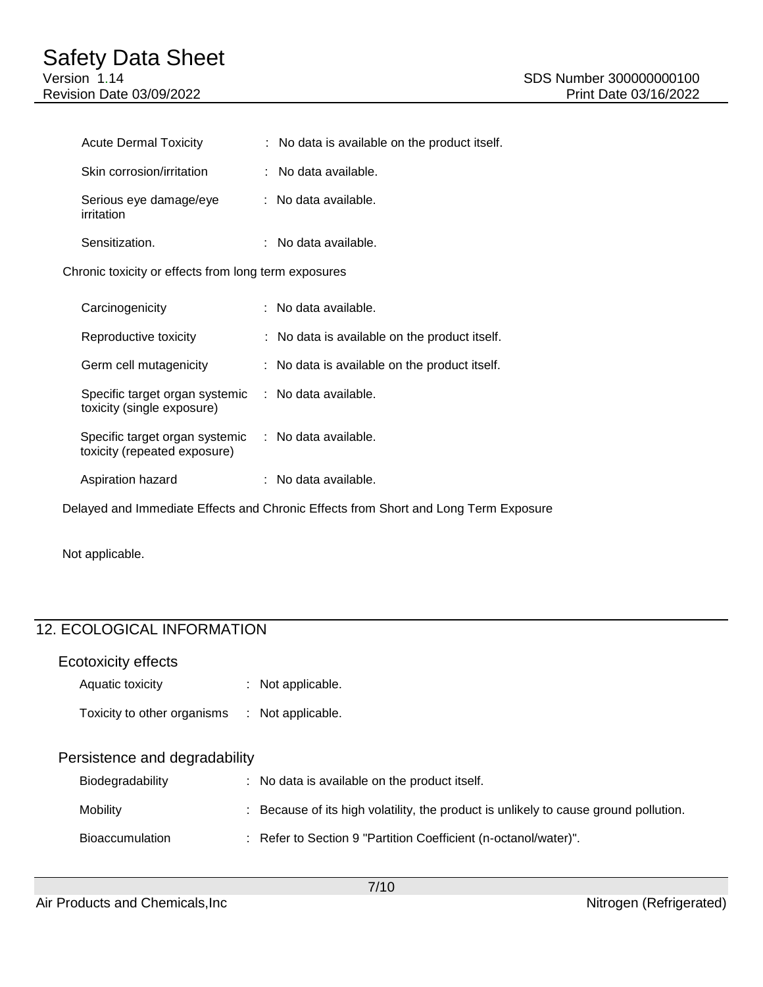| Acute Dermal Toxicity                                                             | : No data is available on the product itself. |
|-----------------------------------------------------------------------------------|-----------------------------------------------|
| Skin corrosion/irritation                                                         | : No data available.                          |
| Serious eye damage/eye<br>irritation                                              | $:$ No data available.                        |
| Sensitization.                                                                    | $:$ No data available.                        |
| Chronic toxicity or effects from long term exposures                              |                                               |
| Carcinogenicity                                                                   | $:$ No data available.                        |
| Reproductive toxicity                                                             | : No data is available on the product itself. |
| Germ cell mutagenicity                                                            | : No data is available on the product itself. |
| Specific target organ systemic : No data available.<br>toxicity (single exposure) |                                               |
| Specific target organ systemic<br>toxicity (repeated exposure)                    | : No data available.                          |
| Aspiration hazard                                                                 | $:$ No data available.                        |

Delayed and Immediate Effects and Chronic Effects from Short and Long Term Exposure

Not applicable.

# 12. ECOLOGICAL INFORMATION

| Ecotoxicity effects           |   |                                                                                    |
|-------------------------------|---|------------------------------------------------------------------------------------|
| Aquatic toxicity              |   | : Not applicable.                                                                  |
| Toxicity to other organisms   | ÷ | Not applicable.                                                                    |
| Persistence and degradability |   |                                                                                    |
| Biodegradability              |   | : No data is available on the product itself.                                      |
| Mobility                      |   | Because of its high volatility, the product is unlikely to cause ground pollution. |
| <b>Bioaccumulation</b>        |   | : Refer to Section 9 "Partition Coefficient (n-octanol/water)".                    |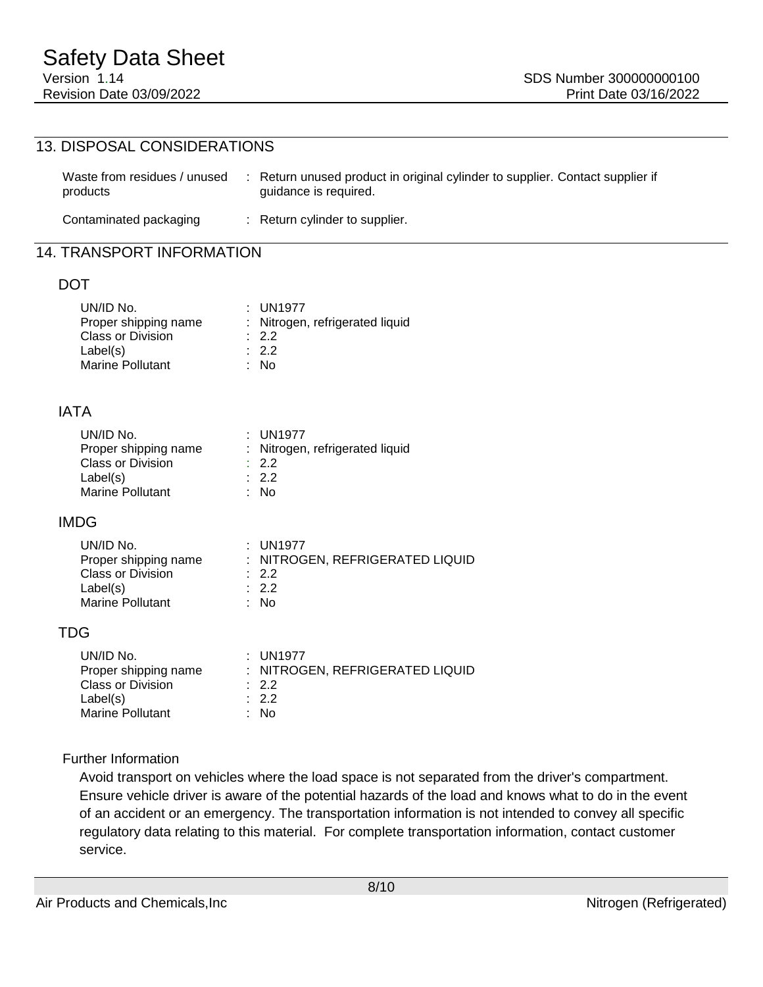### 13. DISPOSAL CONSIDERATIONS

| Waste from residues / unused<br>products | : Return unused product in original cylinder to supplier. Contact supplier if<br>quidance is required. |
|------------------------------------------|--------------------------------------------------------------------------------------------------------|
| Contaminated packaging                   | : Return cylinder to supplier.                                                                         |

### 14. TRANSPORT INFORMATION

#### DOT

| UN/ID No.                | $:$ UN1977                      |
|--------------------------|---------------------------------|
| Proper shipping name     | : Nitrogen, refrigerated liquid |
| <b>Class or Division</b> | $\therefore$ 2.2                |
| Label(s)                 | $\therefore$ 2.2                |
| Marine Pollutant         | : No                            |

#### IATA

| UN/ID No.                | $:$ UN1977                      |
|--------------------------|---------------------------------|
| Proper shipping name     | : Nitrogen, refrigerated liquid |
| <b>Class or Division</b> | $\therefore$ 2.2                |
| Label(s)                 | .22                             |
| <b>Marine Pollutant</b>  | : No                            |

#### IMDG

| UN/ID No.                | $:$ UN1977                      |
|--------------------------|---------------------------------|
| Proper shipping name     | : NITROGEN, REFRIGERATED LIQUID |
| <b>Class or Division</b> | $\therefore$ 2.2                |
| Label(s)                 | $\therefore$ 2.2                |
| <b>Marine Pollutant</b>  | : No                            |

#### TDG

| UN/ID No.                | $:$ UN1977                      |
|--------------------------|---------------------------------|
| Proper shipping name     | : NITROGEN, REFRIGERATED LIQUID |
| <b>Class or Division</b> | $\therefore$ 2.2                |
| Label(s)                 | .22                             |
| <b>Marine Pollutant</b>  | : No                            |

#### Further Information

Avoid transport on vehicles where the load space is not separated from the driver's compartment. Ensure vehicle driver is aware of the potential hazards of the load and knows what to do in the event of an accident or an emergency. The transportation information is not intended to convey all specific regulatory data relating to this material. For complete transportation information, contact customer service.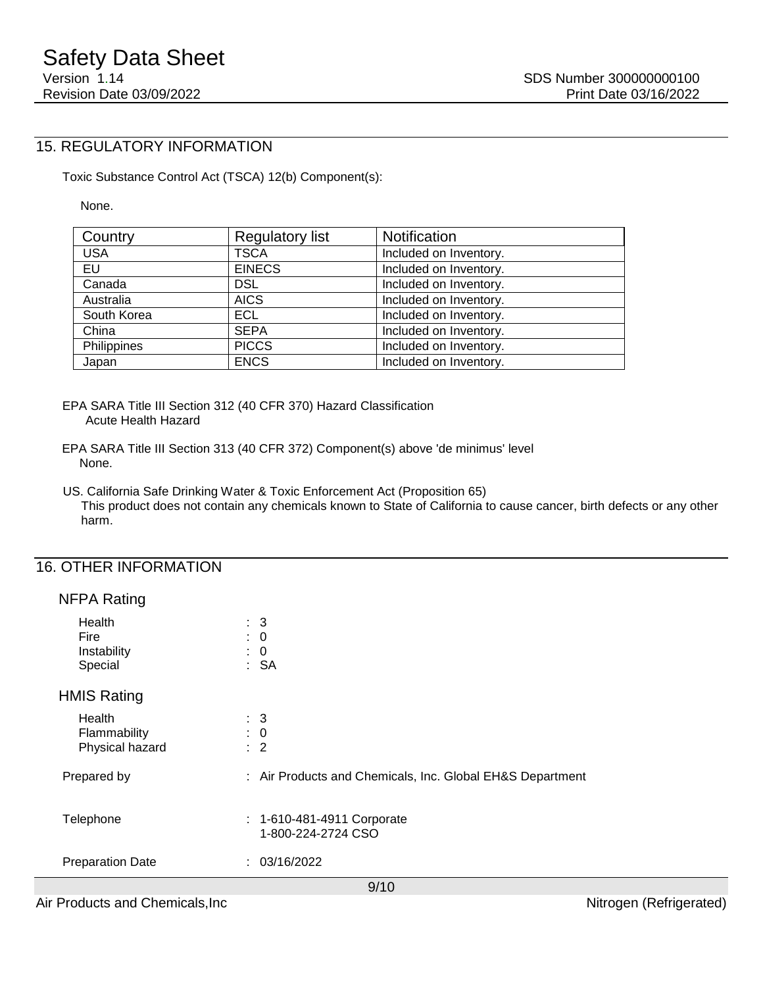# 15. REGULATORY INFORMATION

Toxic Substance Control Act (TSCA) 12(b) Component(s):

None.

| Country     | <b>Regulatory list</b> | Notification           |
|-------------|------------------------|------------------------|
| <b>USA</b>  | <b>TSCA</b>            | Included on Inventory. |
| EU          | <b>EINECS</b>          | Included on Inventory. |
| Canada      | <b>DSL</b>             | Included on Inventory. |
| Australia   | <b>AICS</b>            | Included on Inventory. |
| South Korea | ECL.                   | Included on Inventory. |
| China       | <b>SEPA</b>            | Included on Inventory. |
| Philippines | <b>PICCS</b>           | Included on Inventory. |
| Japan       | <b>ENCS</b>            | Included on Inventory. |

EPA SARA Title III Section 312 (40 CFR 370) Hazard Classification Acute Health Hazard

EPA SARA Title III Section 313 (40 CFR 372) Component(s) above 'de minimus' level None.

US. California Safe Drinking Water & Toxic Enforcement Act (Proposition 65) This product does not contain any chemicals known to State of California to cause cancer, birth defects or any other harm.

### 16. OTHER INFORMATION

#### NFPA Rating

| Health<br><b>Fire</b><br>Instability<br>Special | $\therefore$ 3<br>$\therefore$ 0<br>$\colon 0$<br>: SA    |
|-------------------------------------------------|-----------------------------------------------------------|
| <b>HMIS Rating</b>                              |                                                           |
| Health<br>Flammability<br>Physical hazard       | $\therefore$ 3<br>$\therefore$ 0<br>$\therefore$ 2        |
| Prepared by                                     | : Air Products and Chemicals, Inc. Global EH&S Department |
| Telephone                                       | : 1-610-481-4911 Corporate<br>1-800-224-2724 CSO          |
| <b>Preparation Date</b>                         | : 03/16/2022                                              |